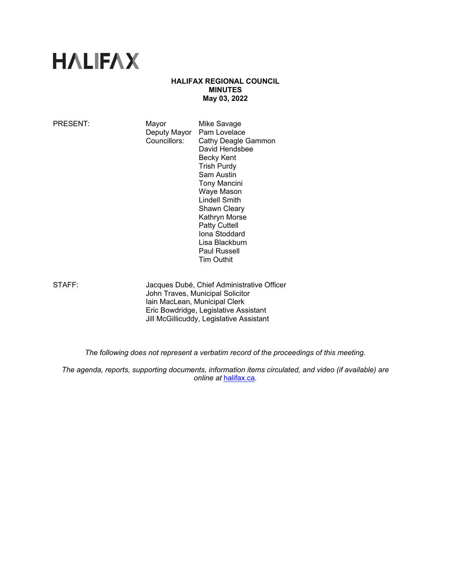# **HALIFAX**

# **HALIFAX REGIONAL COUNCIL MINUTES May 03, 2022**

| PRESENT: | Mayor<br>Deputy Mayor<br>Councillors: | Mike Savage<br>Pam Lovelace<br>Cathy Deagle Gammon<br>David Hendsbee<br>Becky Kent<br><b>Trish Purdy</b><br>Sam Austin<br>Tony Mancini<br>Waye Mason<br>Lindell Smith<br><b>Shawn Cleary</b><br>Kathryn Morse<br><b>Patty Cuttell</b><br>Iona Stoddard<br>Lisa Blackburn<br><b>Paul Russell</b> |  |
|----------|---------------------------------------|-------------------------------------------------------------------------------------------------------------------------------------------------------------------------------------------------------------------------------------------------------------------------------------------------|--|
|          |                                       | <b>Tim Outhit</b>                                                                                                                                                                                                                                                                               |  |

STAFF: Jacques Dubé, Chief Administrative Officer John Traves, Municipal Solicitor Iain MacLean, Municipal Clerk Eric Bowdridge, Legislative Assistant Jill McGillicuddy, Legislative Assistant

*The following does not represent a verbatim record of the proceedings of this meeting.* 

*The agenda, reports, supporting documents, information items circulated, and video (if available) are online at* halifax.ca*.*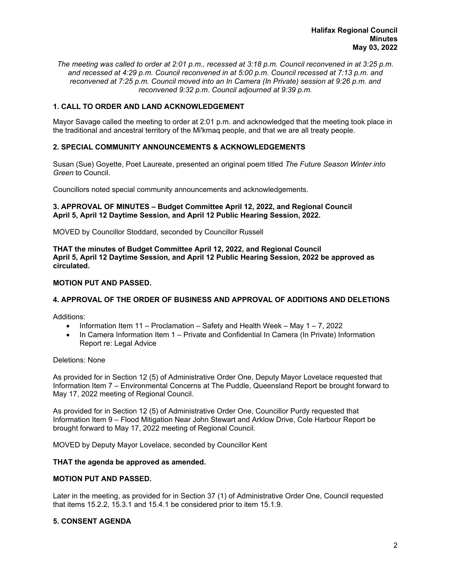*The meeting was called to order at 2:01 p.m., recessed at 3:18 p.m. Council reconvened in at 3:25 p.m. and recessed at 4:29 p.m. Council reconvened in at 5:00 p.m. Council recessed at 7:13 p.m. and reconvened at 7:25 p.m. Council moved into an In Camera (In Private) session at 9:26 p.m. and reconvened 9:32 p.m. Council adjourned at 9:39 p.m.* 

# **1. CALL TO ORDER AND LAND ACKNOWLEDGEMENT**

Mayor Savage called the meeting to order at 2:01 p.m. and acknowledged that the meeting took place in the traditional and ancestral territory of the Mi'kmaq people, and that we are all treaty people.

# **2. SPECIAL COMMUNITY ANNOUNCEMENTS & ACKNOWLEDGEMENTS**

Susan (Sue) Goyette, Poet Laureate, presented an original poem titled *The Future Season Winter into Green* to Council.

Councillors noted special community announcements and acknowledgements.

## **3. APPROVAL OF MINUTES – Budget Committee April 12, 2022, and Regional Council April 5, April 12 Daytime Session, and April 12 Public Hearing Session, 2022.**

MOVED by Councillor Stoddard, seconded by Councillor Russell

**THAT the minutes of Budget Committee April 12, 2022, and Regional Council April 5, April 12 Daytime Session, and April 12 Public Hearing Session, 2022 be approved as circulated.** 

## **MOTION PUT AND PASSED.**

# **4. APPROVAL OF THE ORDER OF BUSINESS AND APPROVAL OF ADDITIONS AND DELETIONS**

Additions:

- Information Item 11 Proclamation Safety and Health Week May  $1 7$ , 2022
- In Camera Information Item 1 Private and Confidential In Camera (In Private) Information Report re: Legal Advice

## Deletions: None

As provided for in Section 12 (5) of Administrative Order One, Deputy Mayor Lovelace requested that Information Item 7 – Environmental Concerns at The Puddle, Queensland Report be brought forward to May 17, 2022 meeting of Regional Council.

As provided for in Section 12 (5) of Administrative Order One, Councillor Purdy requested that Information Item 9 – Flood Mitigation Near John Stewart and Arklow Drive, Cole Harbour Report be brought forward to May 17, 2022 meeting of Regional Council.

MOVED by Deputy Mayor Lovelace, seconded by Councillor Kent

## **THAT the agenda be approved as amended.**

## **MOTION PUT AND PASSED.**

Later in the meeting, as provided for in Section 37 (1) of Administrative Order One, Council requested that items 15.2.2, 15.3.1 and 15.4.1 be considered prior to item 15.1.9.

## **5. CONSENT AGENDA**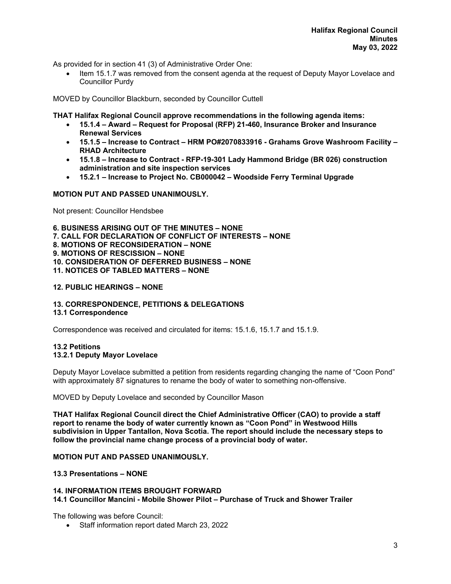As provided for in section 41 (3) of Administrative Order One:

 Item 15.1.7 was removed from the consent agenda at the request of Deputy Mayor Lovelace and Councillor Purdy

MOVED by Councillor Blackburn, seconded by Councillor Cuttell

**THAT Halifax Regional Council approve recommendations in the following agenda items:** 

- **15.1.4 Award Request for Proposal (RFP) 21-460, Insurance Broker and Insurance Renewal Services**
- **15.1.5 Increase to Contract HRM PO#2070833916 Grahams Grove Washroom Facility RHAD Architecture**
- **15.1.8 Increase to Contract RFP-19-301 Lady Hammond Bridge (BR 026) construction administration and site inspection services**
- **15.2.1 Increase to Project No. CB000042 Woodside Ferry Terminal Upgrade**

## **MOTION PUT AND PASSED UNANIMOUSLY.**

Not present: Councillor Hendsbee

**6. BUSINESS ARISING OUT OF THE MINUTES – NONE 7. CALL FOR DECLARATION OF CONFLICT OF INTERESTS – NONE 8. MOTIONS OF RECONSIDERATION – NONE 9. MOTIONS OF RESCISSION – NONE 10. CONSIDERATION OF DEFERRED BUSINESS – NONE 11. NOTICES OF TABLED MATTERS – NONE** 

## **12. PUBLIC HEARINGS – NONE**

## **13. CORRESPONDENCE, PETITIONS & DELEGATIONS**

# **13.1 Correspondence**

Correspondence was received and circulated for items: 15.1.6, 15.1.7 and 15.1.9.

## **13.2 Petitions 13.2.1 Deputy Mayor Lovelace**

Deputy Mayor Lovelace submitted a petition from residents regarding changing the name of "Coon Pond" with approximately 87 signatures to rename the body of water to something non-offensive.

MOVED by Deputy Lovelace and seconded by Councillor Mason

**THAT Halifax Regional Council direct the Chief Administrative Officer (CAO) to provide a staff report to rename the body of water currently known as "Coon Pond" in Westwood Hills subdivision in Upper Tantallon, Nova Scotia. The report should include the necessary steps to follow the provincial name change process of a provincial body of water.** 

## **MOTION PUT AND PASSED UNANIMOUSLY.**

# **13.3 Presentations – NONE**

## **14. INFORMATION ITEMS BROUGHT FORWARD 14.1 Councillor Mancini - Mobile Shower Pilot – Purchase of Truck and Shower Trailer**

The following was before Council:

Staff information report dated March 23, 2022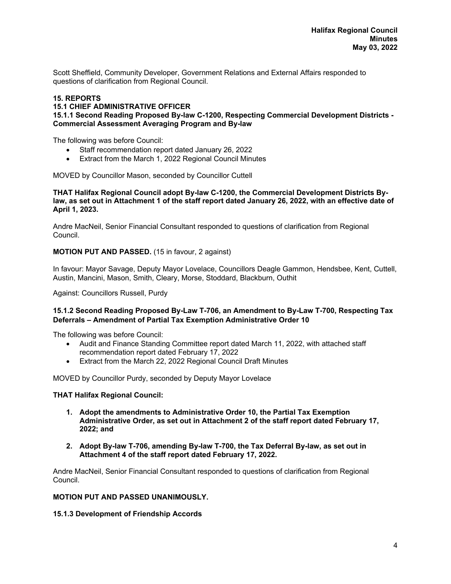Scott Sheffield, Community Developer, Government Relations and External Affairs responded to questions of clarification from Regional Council.

# **15. REPORTS**

## **15.1 CHIEF ADMINISTRATIVE OFFICER**

**15.1.1 Second Reading Proposed By-law C-1200, Respecting Commercial Development Districts - Commercial Assessment Averaging Program and By-law** 

The following was before Council:

- Staff recommendation report dated January 26, 2022
- Extract from the March 1, 2022 Regional Council Minutes

MOVED by Councillor Mason, seconded by Councillor Cuttell

**THAT Halifax Regional Council adopt By-law C-1200, the Commercial Development Districts Bylaw, as set out in Attachment 1 of the staff report dated January 26, 2022, with an effective date of April 1, 2023.** 

Andre MacNeil, Senior Financial Consultant responded to questions of clarification from Regional Council.

**MOTION PUT AND PASSED.** (15 in favour, 2 against)

In favour: Mayor Savage, Deputy Mayor Lovelace, Councillors Deagle Gammon, Hendsbee, Kent, Cuttell, Austin, Mancini, Mason, Smith, Cleary, Morse, Stoddard, Blackburn, Outhit

Against: Councillors Russell, Purdy

## **15.1.2 Second Reading Proposed By-Law T-706, an Amendment to By-Law T-700, Respecting Tax Deferrals – Amendment of Partial Tax Exemption Administrative Order 10**

The following was before Council:

- Audit and Finance Standing Committee report dated March 11, 2022, with attached staff recommendation report dated February 17, 2022
- Extract from the March 22, 2022 Regional Council Draft Minutes

MOVED by Councillor Purdy, seconded by Deputy Mayor Lovelace

## **THAT Halifax Regional Council:**

- **1. Adopt the amendments to Administrative Order 10, the Partial Tax Exemption Administrative Order, as set out in Attachment 2 of the staff report dated February 17, 2022; and**
- **2. Adopt By-law T-706, amending By-law T-700, the Tax Deferral By-law, as set out in Attachment 4 of the staff report dated February 17, 2022.**

Andre MacNeil, Senior Financial Consultant responded to questions of clarification from Regional Council.

## **MOTION PUT AND PASSED UNANIMOUSLY.**

**15.1.3 Development of Friendship Accords**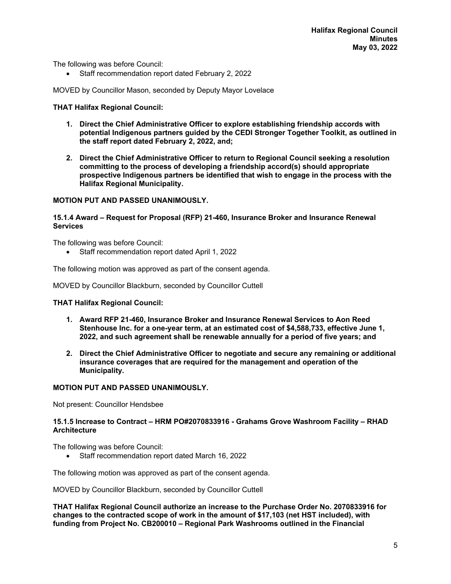The following was before Council:

• Staff recommendation report dated February 2, 2022

MOVED by Councillor Mason, seconded by Deputy Mayor Lovelace

## **THAT Halifax Regional Council:**

- **1. Direct the Chief Administrative Officer to explore establishing friendship accords with potential Indigenous partners guided by the CEDI Stronger Together Toolkit, as outlined in the staff report dated February 2, 2022, and;**
- **2. Direct the Chief Administrative Officer to return to Regional Council seeking a resolution committing to the process of developing a friendship accord(s) should appropriate prospective Indigenous partners be identified that wish to engage in the process with the Halifax Regional Municipality.**

## **MOTION PUT AND PASSED UNANIMOUSLY.**

#### **15.1.4 Award – Request for Proposal (RFP) 21-460, Insurance Broker and Insurance Renewal Services**

The following was before Council:

Staff recommendation report dated April 1, 2022

The following motion was approved as part of the consent agenda.

MOVED by Councillor Blackburn, seconded by Councillor Cuttell

## **THAT Halifax Regional Council:**

- **1. Award RFP 21-460, Insurance Broker and Insurance Renewal Services to Aon Reed Stenhouse Inc. for a one-year term, at an estimated cost of \$4,588,733, effective June 1, 2022, and such agreement shall be renewable annually for a period of five years; and**
- **2. Direct the Chief Administrative Officer to negotiate and secure any remaining or additional insurance coverages that are required for the management and operation of the Municipality.**

## **MOTION PUT AND PASSED UNANIMOUSLY.**

Not present: Councillor Hendsbee

## **15.1.5 Increase to Contract – HRM PO#2070833916 - Grahams Grove Washroom Facility – RHAD Architecture**

The following was before Council:

Staff recommendation report dated March 16, 2022

The following motion was approved as part of the consent agenda.

MOVED by Councillor Blackburn, seconded by Councillor Cuttell

**THAT Halifax Regional Council authorize an increase to the Purchase Order No. 2070833916 for changes to the contracted scope of work in the amount of \$17,103 (net HST included), with funding from Project No. CB200010 – Regional Park Washrooms outlined in the Financial**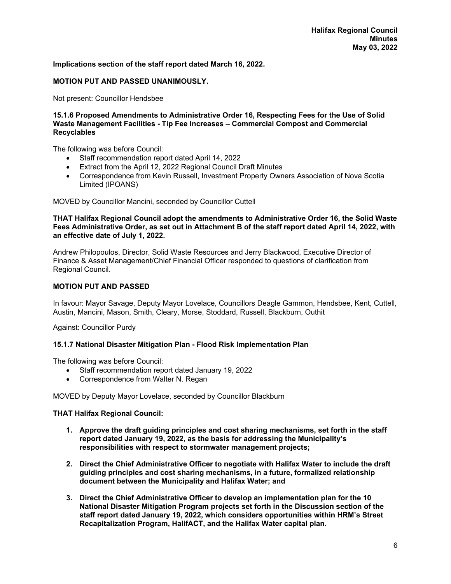## **Implications section of the staff report dated March 16, 2022.**

## **MOTION PUT AND PASSED UNANIMOUSLY.**

Not present: Councillor Hendsbee

#### **15.1.6 Proposed Amendments to Administrative Order 16, Respecting Fees for the Use of Solid Waste Management Facilities - Tip Fee Increases – Commercial Compost and Commercial Recyclables**

The following was before Council:

- Staff recommendation report dated April 14, 2022
- Extract from the April 12, 2022 Regional Council Draft Minutes
- Correspondence from Kevin Russell, Investment Property Owners Association of Nova Scotia Limited (IPOANS)

MOVED by Councillor Mancini, seconded by Councillor Cuttell

#### **THAT Halifax Regional Council adopt the amendments to Administrative Order 16, the Solid Waste Fees Administrative Order, as set out in Attachment B of the staff report dated April 14, 2022, with an effective date of July 1, 2022.**

Andrew Philopoulos, Director, Solid Waste Resources and Jerry Blackwood, Executive Director of Finance & Asset Management/Chief Financial Officer responded to questions of clarification from Regional Council.

## **MOTION PUT AND PASSED**

In favour: Mayor Savage, Deputy Mayor Lovelace, Councillors Deagle Gammon, Hendsbee, Kent, Cuttell, Austin, Mancini, Mason, Smith, Cleary, Morse, Stoddard, Russell, Blackburn, Outhit

Against: Councillor Purdy

## **15.1.7 National Disaster Mitigation Plan - Flood Risk Implementation Plan**

The following was before Council:

- Staff recommendation report dated January 19, 2022
- Correspondence from Walter N. Regan

MOVED by Deputy Mayor Lovelace, seconded by Councillor Blackburn

## **THAT Halifax Regional Council:**

- **1. Approve the draft guiding principles and cost sharing mechanisms, set forth in the staff report dated January 19, 2022, as the basis for addressing the Municipality's responsibilities with respect to stormwater management projects;**
- **2. Direct the Chief Administrative Officer to negotiate with Halifax Water to include the draft guiding principles and cost sharing mechanisms, in a future, formalized relationship document between the Municipality and Halifax Water; and**
- **3. Direct the Chief Administrative Officer to develop an implementation plan for the 10 National Disaster Mitigation Program projects set forth in the Discussion section of the staff report dated January 19, 2022, which considers opportunities within HRM's Street Recapitalization Program, HalifACT, and the Halifax Water capital plan.**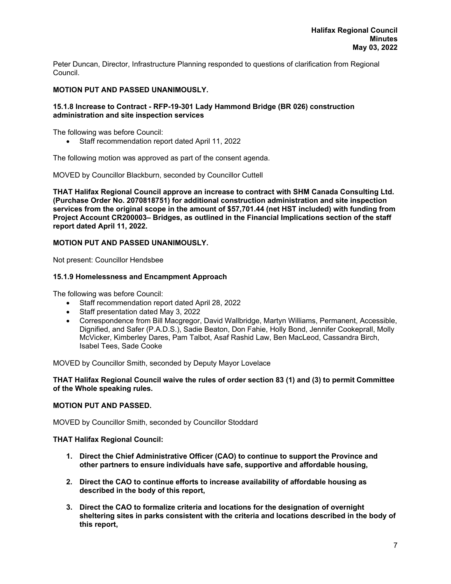Peter Duncan, Director, Infrastructure Planning responded to questions of clarification from Regional Council.

# **MOTION PUT AND PASSED UNANIMOUSLY.**

## **15.1.8 Increase to Contract - RFP-19-301 Lady Hammond Bridge (BR 026) construction administration and site inspection services**

The following was before Council:

Staff recommendation report dated April 11, 2022

The following motion was approved as part of the consent agenda.

MOVED by Councillor Blackburn, seconded by Councillor Cuttell

**THAT Halifax Regional Council approve an increase to contract with SHM Canada Consulting Ltd. (Purchase Order No. 2070818751) for additional construction administration and site inspection services from the original scope in the amount of \$57,701.44 (net HST included) with funding from Project Account CR200003– Bridges, as outlined in the Financial Implications section of the staff report dated April 11, 2022.** 

# **MOTION PUT AND PASSED UNANIMOUSLY.**

Not present: Councillor Hendsbee

## **15.1.9 Homelessness and Encampment Approach**

The following was before Council:

- Staff recommendation report dated April 28, 2022
- Staff presentation dated May 3, 2022
- Correspondence from Bill Macgregor, David Wallbridge, Martyn Williams, Permanent, Accessible, Dignified, and Safer (P.A.D.S.), Sadie Beaton, Don Fahie, Holly Bond, Jennifer Cookeprall, Molly McVicker, Kimberley Dares, Pam Talbot, Asaf Rashid Law, Ben MacLeod, Cassandra Birch, Isabel Tees, Sade Cooke

MOVED by Councillor Smith, seconded by Deputy Mayor Lovelace

**THAT Halifax Regional Council waive the rules of order section 83 (1) and (3) to permit Committee of the Whole speaking rules.**

## **MOTION PUT AND PASSED.**

MOVED by Councillor Smith, seconded by Councillor Stoddard

## **THAT Halifax Regional Council:**

- **1. Direct the Chief Administrative Officer (CAO) to continue to support the Province and other partners to ensure individuals have safe, supportive and affordable housing,**
- **2. Direct the CAO to continue efforts to increase availability of affordable housing as described in the body of this report,**
- **3. Direct the CAO to formalize criteria and locations for the designation of overnight sheltering sites in parks consistent with the criteria and locations described in the body of this report,**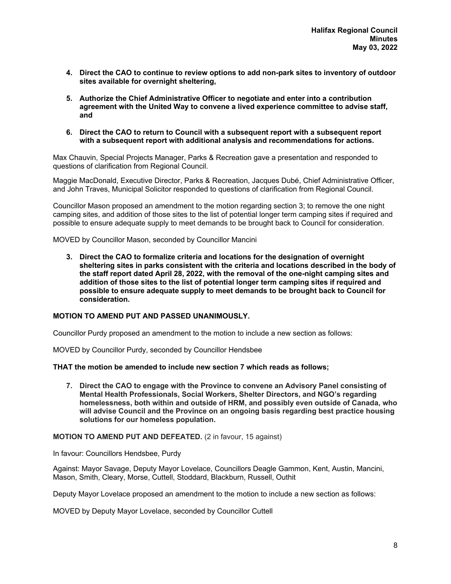- **4. Direct the CAO to continue to review options to add non-park sites to inventory of outdoor sites available for overnight sheltering,**
- **5. Authorize the Chief Administrative Officer to negotiate and enter into a contribution agreement with the United Way to convene a lived experience committee to advise staff, and**
- **6. Direct the CAO to return to Council with a subsequent report with a subsequent report with a subsequent report with additional analysis and recommendations for actions.**

Max Chauvin, Special Projects Manager, Parks & Recreation gave a presentation and responded to questions of clarification from Regional Council.

Maggie MacDonald, Executive Director, Parks & Recreation, Jacques Dubé, Chief Administrative Officer, and John Traves, Municipal Solicitor responded to questions of clarification from Regional Council.

Councillor Mason proposed an amendment to the motion regarding section 3; to remove the one night camping sites, and addition of those sites to the list of potential longer term camping sites if required and possible to ensure adequate supply to meet demands to be brought back to Council for consideration.

MOVED by Councillor Mason, seconded by Councillor Mancini

**3. Direct the CAO to formalize criteria and locations for the designation of overnight sheltering sites in parks consistent with the criteria and locations described in the body of the staff report dated April 28, 2022, with the removal of the one-night camping sites and addition of those sites to the list of potential longer term camping sites if required and possible to ensure adequate supply to meet demands to be brought back to Council for consideration.** 

## **MOTION TO AMEND PUT AND PASSED UNANIMOUSLY.**

Councillor Purdy proposed an amendment to the motion to include a new section as follows:

MOVED by Councillor Purdy, seconded by Councillor Hendsbee

## **THAT the motion be amended to include new section 7 which reads as follows;**

**7. Direct the CAO to engage with the Province to convene an Advisory Panel consisting of Mental Health Professionals, Social Workers, Shelter Directors, and NGO's regarding homelessness, both within and outside of HRM, and possibly even outside of Canada, who will advise Council and the Province on an ongoing basis regarding best practice housing solutions for our homeless population.** 

## **MOTION TO AMEND PUT AND DEFEATED.** (2 in favour, 15 against)

In favour: Councillors Hendsbee, Purdy

Against: Mayor Savage, Deputy Mayor Lovelace, Councillors Deagle Gammon, Kent, Austin, Mancini, Mason, Smith, Cleary, Morse, Cuttell, Stoddard, Blackburn, Russell, Outhit

Deputy Mayor Lovelace proposed an amendment to the motion to include a new section as follows:

MOVED by Deputy Mayor Lovelace, seconded by Councillor Cuttell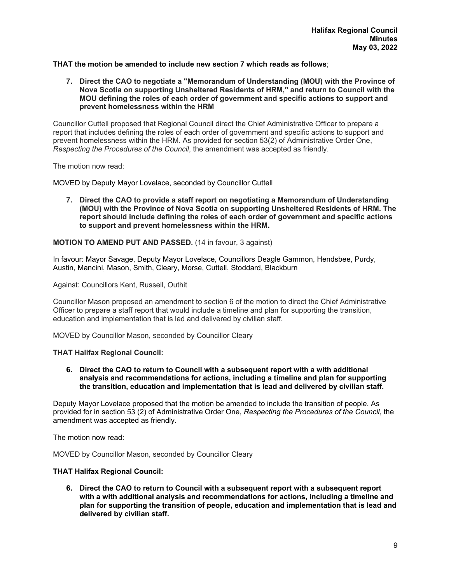# **THAT the motion be amended to include new section 7 which reads as follows**;

**7. Direct the CAO to negotiate a "Memorandum of Understanding (MOU) with the Province of Nova Scotia on supporting Unsheltered Residents of HRM," and return to Council with the MOU defining the roles of each order of government and specific actions to support and prevent homelessness within the HRM** 

Councillor Cuttell proposed that Regional Council direct the Chief Administrative Officer to prepare a report that includes defining the roles of each order of government and specific actions to support and prevent homelessness within the HRM. As provided for section 53(2) of Administrative Order One, *Respecting the Procedures of the Council*, the amendment was accepted as friendly.

The motion now read:

MOVED by Deputy Mayor Lovelace, seconded by Councillor Cuttell

**7. Direct the CAO to provide a staff report on negotiating a Memorandum of Understanding (MOU) with the Province of Nova Scotia on supporting Unsheltered Residents of HRM. The report should include defining the roles of each order of government and specific actions to support and prevent homelessness within the HRM.** 

**MOTION TO AMEND PUT AND PASSED.** (14 in favour, 3 against)

In favour: Mayor Savage, Deputy Mayor Lovelace, Councillors Deagle Gammon, Hendsbee, Purdy, Austin, Mancini, Mason, Smith, Cleary, Morse, Cuttell, Stoddard, Blackburn

Against: Councillors Kent, Russell, Outhit

Councillor Mason proposed an amendment to section 6 of the motion to direct the Chief Administrative Officer to prepare a staff report that would include a timeline and plan for supporting the transition, education and implementation that is led and delivered by civilian staff.

MOVED by Councillor Mason, seconded by Councillor Cleary

## **THAT Halifax Regional Council:**

**6. Direct the CAO to return to Council with a subsequent report with a with additional analysis and recommendations for actions, including a timeline and plan for supporting the transition, education and implementation that is lead and delivered by civilian staff.** 

Deputy Mayor Lovelace proposed that the motion be amended to include the transition of people. As provided for in section 53 (2) of Administrative Order One, *Respecting the Procedures of the Council*, the amendment was accepted as friendly.

The motion now read:

MOVED by Councillor Mason, seconded by Councillor Cleary

## **THAT Halifax Regional Council:**

**6. Direct the CAO to return to Council with a subsequent report with a subsequent report with a with additional analysis and recommendations for actions, including a timeline and plan for supporting the transition of people, education and implementation that is lead and delivered by civilian staff.**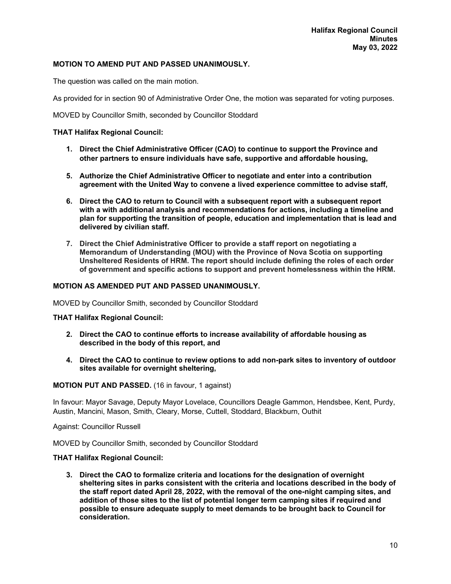## **MOTION TO AMEND PUT AND PASSED UNANIMOUSLY.**

The question was called on the main motion.

As provided for in section 90 of Administrative Order One, the motion was separated for voting purposes.

MOVED by Councillor Smith, seconded by Councillor Stoddard

## **THAT Halifax Regional Council:**

- **1. Direct the Chief Administrative Officer (CAO) to continue to support the Province and other partners to ensure individuals have safe, supportive and affordable housing,**
- **5. Authorize the Chief Administrative Officer to negotiate and enter into a contribution agreement with the United Way to convene a lived experience committee to advise staff,**
- **6. Direct the CAO to return to Council with a subsequent report with a subsequent report with a with additional analysis and recommendations for actions, including a timeline and plan for supporting the transition of people, education and implementation that is lead and delivered by civilian staff.**
- **7. Direct the Chief Administrative Officer to provide a staff report on negotiating a Memorandum of Understanding (MOU) with the Province of Nova Scotia on supporting Unsheltered Residents of HRM. The report should include defining the roles of each order of government and specific actions to support and prevent homelessness within the HRM.**

## **MOTION AS AMENDED PUT AND PASSED UNANIMOUSLY.**

MOVED by Councillor Smith, seconded by Councillor Stoddard

**THAT Halifax Regional Council:** 

- **2. Direct the CAO to continue efforts to increase availability of affordable housing as described in the body of this report, and**
- **4. Direct the CAO to continue to review options to add non-park sites to inventory of outdoor sites available for overnight sheltering,**

# **MOTION PUT AND PASSED.** (16 in favour, 1 against)

In favour: Mayor Savage, Deputy Mayor Lovelace, Councillors Deagle Gammon, Hendsbee, Kent, Purdy, Austin, Mancini, Mason, Smith, Cleary, Morse, Cuttell, Stoddard, Blackburn, Outhit

Against: Councillor Russell

MOVED by Councillor Smith, seconded by Councillor Stoddard

## **THAT Halifax Regional Council:**

**3. Direct the CAO to formalize criteria and locations for the designation of overnight sheltering sites in parks consistent with the criteria and locations described in the body of the staff report dated April 28, 2022, with the removal of the one-night camping sites, and addition of those sites to the list of potential longer term camping sites if required and possible to ensure adequate supply to meet demands to be brought back to Council for consideration.**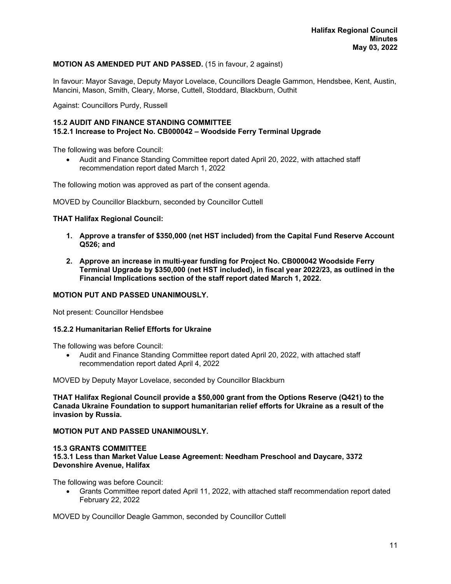# **MOTION AS AMENDED PUT AND PASSED.** (15 in favour, 2 against)

In favour: Mayor Savage, Deputy Mayor Lovelace, Councillors Deagle Gammon, Hendsbee, Kent, Austin, Mancini, Mason, Smith, Cleary, Morse, Cuttell, Stoddard, Blackburn, Outhit

Against: Councillors Purdy, Russell

# **15.2 AUDIT AND FINANCE STANDING COMMITTEE 15.2.1 Increase to Project No. CB000042 – Woodside Ferry Terminal Upgrade**

The following was before Council:

 Audit and Finance Standing Committee report dated April 20, 2022, with attached staff recommendation report dated March 1, 2022

The following motion was approved as part of the consent agenda.

MOVED by Councillor Blackburn, seconded by Councillor Cuttell

## **THAT Halifax Regional Council:**

- **1. Approve a transfer of \$350,000 (net HST included) from the Capital Fund Reserve Account Q526; and**
- **2. Approve an increase in multi-year funding for Project No. CB000042 Woodside Ferry Terminal Upgrade by \$350,000 (net HST included), in fiscal year 2022/23, as outlined in the Financial Implications section of the staff report dated March 1, 2022.**

## **MOTION PUT AND PASSED UNANIMOUSLY.**

Not present: Councillor Hendsbee

## **15.2.2 Humanitarian Relief Efforts for Ukraine**

The following was before Council:

 Audit and Finance Standing Committee report dated April 20, 2022, with attached staff recommendation report dated April 4, 2022

MOVED by Deputy Mayor Lovelace, seconded by Councillor Blackburn

**THAT Halifax Regional Council provide a \$50,000 grant from the Options Reserve (Q421) to the Canada Ukraine Foundation to support humanitarian relief efforts for Ukraine as a result of the invasion by Russia.** 

## **MOTION PUT AND PASSED UNANIMOUSLY.**

# **15.3 GRANTS COMMITTEE**

**15.3.1 Less than Market Value Lease Agreement: Needham Preschool and Daycare, 3372 Devonshire Avenue, Halifax** 

The following was before Council:

 Grants Committee report dated April 11, 2022, with attached staff recommendation report dated February 22, 2022

MOVED by Councillor Deagle Gammon, seconded by Councillor Cuttell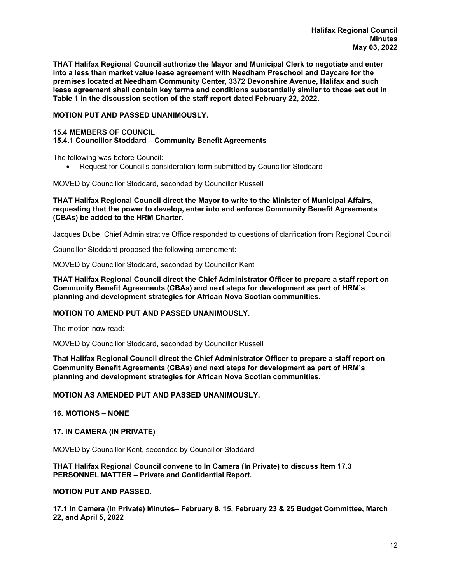**THAT Halifax Regional Council authorize the Mayor and Municipal Clerk to negotiate and enter into a less than market value lease agreement with Needham Preschool and Daycare for the premises located at Needham Community Center, 3372 Devonshire Avenue, Halifax and such lease agreement shall contain key terms and conditions substantially similar to those set out in Table 1 in the discussion section of the staff report dated February 22, 2022.** 

## **MOTION PUT AND PASSED UNANIMOUSLY.**

# **15.4 MEMBERS OF COUNCIL**

# **15.4.1 Councillor Stoddard – Community Benefit Agreements**

The following was before Council:

Request for Council's consideration form submitted by Councillor Stoddard

MOVED by Councillor Stoddard, seconded by Councillor Russell

## **THAT Halifax Regional Council direct the Mayor to write to the Minister of Municipal Affairs, requesting that the power to develop, enter into and enforce Community Benefit Agreements (CBAs) be added to the HRM Charter.**

Jacques Dube, Chief Administrative Office responded to questions of clarification from Regional Council.

Councillor Stoddard proposed the following amendment:

MOVED by Councillor Stoddard, seconded by Councillor Kent

**THAT Halifax Regional Council direct the Chief Administrator Officer to prepare a staff report on Community Benefit Agreements (CBAs) and next steps for development as part of HRM's planning and development strategies for African Nova Scotian communities.** 

## **MOTION TO AMEND PUT AND PASSED UNANIMOUSLY.**

The motion now read:

MOVED by Councillor Stoddard, seconded by Councillor Russell

**That Halifax Regional Council direct the Chief Administrator Officer to prepare a staff report on Community Benefit Agreements (CBAs) and next steps for development as part of HRM's planning and development strategies for African Nova Scotian communities.**

## **MOTION AS AMENDED PUT AND PASSED UNANIMOUSLY.**

# **16. MOTIONS – NONE**

## **17. IN CAMERA (IN PRIVATE)**

MOVED by Councillor Kent, seconded by Councillor Stoddard

## **THAT Halifax Regional Council convene to In Camera (In Private) to discuss Item 17.3 PERSONNEL MATTER – Private and Confidential Report.**

# **MOTION PUT AND PASSED.**

**17.1 In Camera (In Private) Minutes– February 8, 15, February 23 & 25 Budget Committee, March 22, and April 5, 2022**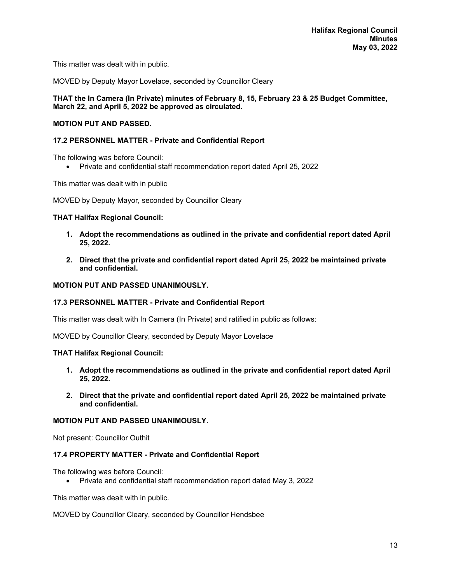This matter was dealt with in public.

MOVED by Deputy Mayor Lovelace, seconded by Councillor Cleary

# **THAT the In Camera (In Private) minutes of February 8, 15, February 23 & 25 Budget Committee, March 22, and April 5, 2022 be approved as circulated.**

# **MOTION PUT AND PASSED.**

## **17.2 PERSONNEL MATTER - Private and Confidential Report**

The following was before Council:

Private and confidential staff recommendation report dated April 25, 2022

This matter was dealt with in public

MOVED by Deputy Mayor, seconded by Councillor Cleary

## **THAT Halifax Regional Council:**

- **1. Adopt the recommendations as outlined in the private and confidential report dated April 25, 2022.**
- **2. Direct that the private and confidential report dated April 25, 2022 be maintained private and confidential.**

## **MOTION PUT AND PASSED UNANIMOUSLY.**

## **17.3 PERSONNEL MATTER - Private and Confidential Report**

This matter was dealt with In Camera (In Private) and ratified in public as follows:

MOVED by Councillor Cleary, seconded by Deputy Mayor Lovelace

## **THAT Halifax Regional Council:**

- **1. Adopt the recommendations as outlined in the private and confidential report dated April 25, 2022.**
- **2. Direct that the private and confidential report dated April 25, 2022 be maintained private and confidential.**

## **MOTION PUT AND PASSED UNANIMOUSLY.**

Not present: Councillor Outhit

# **17.4 PROPERTY MATTER - Private and Confidential Report**

The following was before Council:

Private and confidential staff recommendation report dated May 3, 2022

This matter was dealt with in public.

MOVED by Councillor Cleary, seconded by Councillor Hendsbee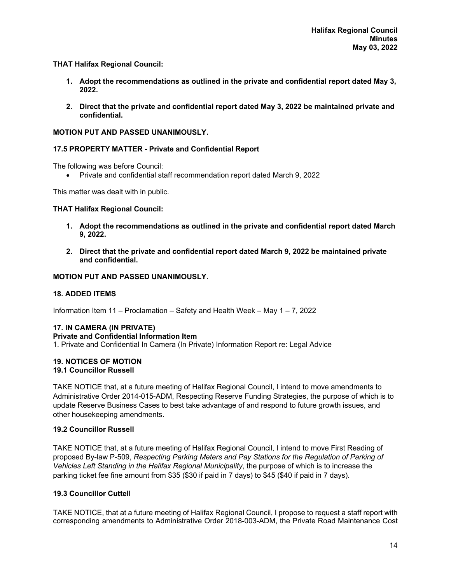**THAT Halifax Regional Council:** 

- **1. Adopt the recommendations as outlined in the private and confidential report dated May 3, 2022.**
- **2. Direct that the private and confidential report dated May 3, 2022 be maintained private and confidential.**

## **MOTION PUT AND PASSED UNANIMOUSLY.**

## **17.5 PROPERTY MATTER - Private and Confidential Report**

The following was before Council:

Private and confidential staff recommendation report dated March 9, 2022

This matter was dealt with in public.

## **THAT Halifax Regional Council:**

- **1. Adopt the recommendations as outlined in the private and confidential report dated March 9, 2022.**
- **2. Direct that the private and confidential report dated March 9, 2022 be maintained private and confidential.**

## **MOTION PUT AND PASSED UNANIMOUSLY.**

# **18. ADDED ITEMS**

Information Item 11 – Proclamation – Safety and Health Week – May 1 – 7, 2022

## **17. IN CAMERA (IN PRIVATE) Private and Confidential Information Item**

1. Private and Confidential In Camera (In Private) Information Report re: Legal Advice

#### **19. NOTICES OF MOTION 19.1 Councillor Russell**

TAKE NOTICE that, at a future meeting of Halifax Regional Council, I intend to move amendments to Administrative Order 2014-015-ADM, Respecting Reserve Funding Strategies, the purpose of which is to update Reserve Business Cases to best take advantage of and respond to future growth issues, and other housekeeping amendments.

## **19.2 Councillor Russell**

TAKE NOTICE that, at a future meeting of Halifax Regional Council, I intend to move First Reading of proposed By-law P-509, *Respecting Parking Meters and Pay Stations for the Regulation of Parking of Vehicles Left Standing in the Halifax Regional Municipality*, the purpose of which is to increase the parking ticket fee fine amount from \$35 (\$30 if paid in 7 days) to \$45 (\$40 if paid in 7 days).

## **19.3 Councillor Cuttell**

TAKE NOTICE, that at a future meeting of Halifax Regional Council, I propose to request a staff report with corresponding amendments to Administrative Order 2018-003-ADM, the Private Road Maintenance Cost